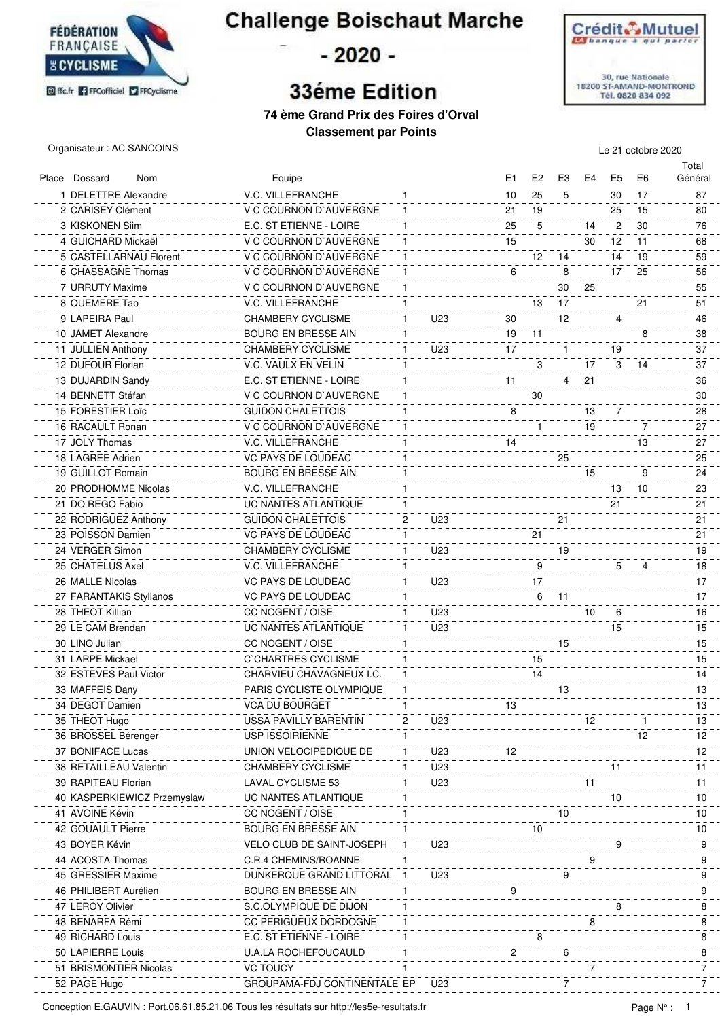

**Challenge Boischaut Marche** 

- 2020 -

## **33éme Edition**



**74 ème Grand Prix des Foires d'Orval Classement par Points**

Organisateur : AC SANCOINS Le 21 octobre 2020

Place Dossard Nom **Equipe Equipe Entitled Entitled Entitled Entitled E1 E2 E3 E4 E5 E6** Total Général 1 DELETTRE Alexandre **1** 10 25 5 30 17 87 2 CARISEY Clément V C COURNON D`AUVERGNE 1 21 25 19 15 80 3 KISKONEN Silm **E.C. ST ETIENNE - LOIRE** 2 2 25 2 25 14 3 30 76 4 GUICHARD Mickaël V C COURNON D`AUVERGNE 1 15 12 30 11 68 5 CASTELLARNAU Florent CCOURNON D'AUVERGNE 1 12 14 14 19 59 6 CHASSAGNE Thomas V C COURNON D`AUVERGNE 1 6 17 8 25 56 7 URRUTY Maxime V C COURNON D`AUVERGNE 1 30 25 8 QUEMERE Tao 17 - 12 17 - 12 17 - 12 17 - 12 17 - 12 17 - 12 17 - 13 17 - 13 17 - 13 17 - 13 17 - 13 17 - 13 1 9 LAPEIRA Paul CHAMBERY CYCLISME 1 U23 30 4 12 46 10 JAMET Alexandre BOURG EN BRESSE AIN 1 19 11 8 38 11 JULLIEN Anthony CHAMBERY CYCLISME 1 U23 17 19 1 37 12 DUFOUR Florian V.C. VAULX EN VELIN 1 3 17 3 14 37 13 DUJARDIN Sandy E.C. ST ETIENNE - LOIRE 1 1 4 21 4 36 14 BENNETT Stéfan V C COURNON D`AUVERGNE 1 30 30 15 FORESTIER Loïc GUIDON CHALETTOIS 19 13 28 16 RACAULT Ronan V C COURNON D`AUVERGNE 1 1 19 7 27 17 JOLY Thomas V.C. VILLEFRANCHE 1 14 13 27 18 LAGREE Adrien VC PAYS DE LOUDEAC 1 25 25 19 GUILLOT Romain 1111 112 24 24 25 26 27 27 28 29 29 20 21 22 23 24 24 25 26 27 27 27 27 27 27 27 27 27 27 27<br>19 GUILLOT Romain 20 PRODHOMME Nicolas 1988 V.C. VILLEFRANCHE 1988 V.C. VILLEFRANCHE 1988 V.C. VILLEFRANCHE 1998 V.C. VILLEFRANCHE 21 DO REGO Fabio UC NANTES ATLANTIQUE 1 21 21 22 RODRIGUEZ Anthony **CHALETTOIS** 21 21 21 21 21 23 POISSON Damien 21 21 21 22 POISSON Damien 21 21 21 22 23 POISSON Damien 21 21 21 21 21 21 21 21 21 21 21 21 24 VERGER Simon CHAMBERY CYCLISME<br>25 CHATFI US Axel CHAMBERY CYCLISME<br>25 CHATFI US Axel CONTRERANCHE CONTRERANCE 25 CHATELUS Axel V.C. VILLEFRANCHE 1 9 5 4 18 26 MALLE Nicolas 1999 - 1999 - 1999 - 1999 - 1999 - 1999 - 1999 - 1999 - 1999 - 1999 - 1999 - 1999 - 1999 - 1<br>26 MALLE Nicolas 27 FARANTAKIS Stylianos VC PAYS DE LOUDEAC 1 6 11 17 28 THEOT Killian **CC NOGENT / OISE** 1 U23 10 6 16 16 29 LE CAM Brendan UC NANTES ATLANTIQUE 1 U23 15 15 30 LINO Julian CC NOGENT / OISE 1 15 15 31 LARPE Mickael C`CHARTRES CYCLISME 1 15 15 32 ESTEVES Paul Victor CHARVIEU CHAVAGNEUX I.C. 1 14 14 33 MAFFEIS Dany **PARIS CYCLISTE OLYMPIQUE** 11 12 12 12 13 14 15 16 17 18 19 19 19 19 19 19 19 19 19 19 19 19 19 34 DEGOT Damien VCA DU BOURGET 1 13 13 35 THEOT Hugo USSA PAVILLY BARENTIN 2 U23 12 1 13 36 BROSSEL Bérenger USP ISSOIRIENNE 1 12 12 37 BONIFACE Lucas UNION VELOCIPEDIQUE DE 1 U23 12 12 38 RETAILLEAU Valentin CHAMBERY CYCLISME 1 U23 11 11 39 RAPITEAU Florian LAVAL CYCLISME 53 1 U23 11 11 40 KASPERKIEWICZ Przemyslaw UC NANTES ATLANTIQUE 1 1 10 10 10 10 10 41 AVOINE Kévin CC NOGENT / OISE 1 10 10 42 GOUAULT Pierre BOURG EN BRESSE AIN 1 10 10

44 ACOSTA Thomas C.R.4 CHEMINS/ROANNE 199 2006 2007 A 2006 2014 45 GRESSIER Maxime DUNKERQUE GRAND LITTORAL 1 U23 9 9 46 PHILIBERT Aurélien BOURG EN BRESSE AIN 1 9 9 47 LEROY Olivier **S.C.OLYMPIQUE DE DIJON** 1 8 8 8 8 8 8 48 BENARFA Rémi  $\begin{array}{c} 6 \text{ N} \\ 7 \text{ N} \end{array}$ 49 RICHARD Louis **E.C. ST ETIENNE - LOIRE** 1 8 8 8 8 8 8 8 8 50 LAPIERRE Louis U.A.LA ROCHEFOUCAULD 1 2 6 8 51 BRISMONTIER Nicolas VC TOUCY 52 PAGE Hugo GROUPAMA-FDJ CONTINENTALE EP U23

43 BOYER Kévin VELO CLUB DE SAINT-JOSEPH 1 U23 9 9